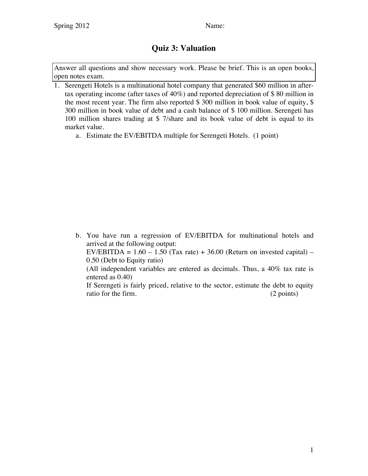## **Quiz 3: Valuation**

Answer all questions and show necessary work. Please be brief. This is an open books, open notes exam.

- 1. Serengeti Hotels is a multinational hotel company that generated \$60 million in aftertax operating income (after taxes of 40%) and reported depreciation of \$ 80 million in the most recent year. The firm also reported \$ 300 million in book value of equity, \$ 300 million in book value of debt and a cash balance of \$ 100 million. Serengeti has 100 million shares trading at \$ 7/share and its book value of debt is equal to its market value.
	- a. Estimate the EV/EBITDA multiple for Serengeti Hotels. (1 point)

b. You have run a regression of EV/EBITDA for multinational hotels and arrived at the following output: EV/EBITDA =  $1.60 - 1.50$  (Tax rate) + 36.00 (Return on invested capital) – 0.50 (Debt to Equity ratio) (All independent variables are entered as decimals. Thus, a 40% tax rate is entered as 0.40) If Serengeti is fairly priced, relative to the sector, estimate the debt to equity ratio for the firm. (2 points)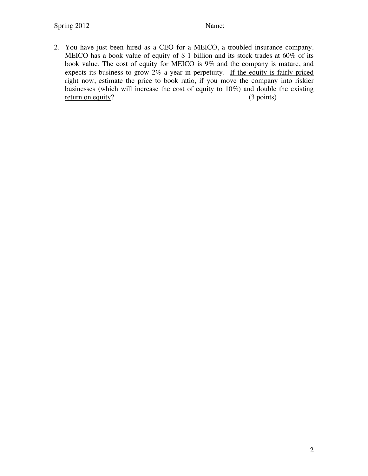2. You have just been hired as a CEO for a MEICO, a troubled insurance company. MEICO has a book value of equity of \$ 1 billion and its stock trades at 60% of its book value. The cost of equity for MEICO is 9% and the company is mature, and expects its business to grow 2% a year in perpetuity. If the equity is fairly priced right now, estimate the price to book ratio, if you move the company into riskier businesses (which will increase the cost of equity to 10%) and double the existing return on equity? (3 points)